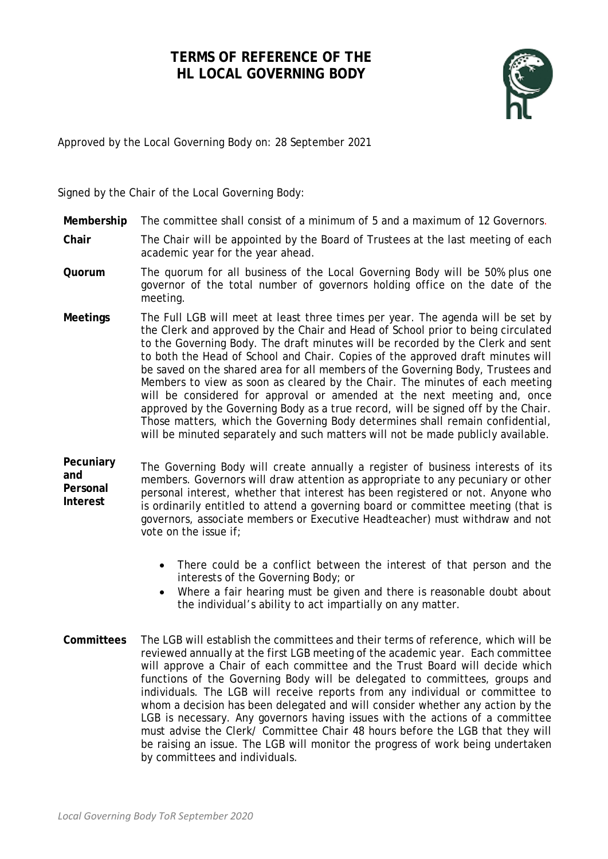# **TERMS OF REFERENCE OF THE HL LOCAL GOVERNING BODY**



Approved by the Local Governing Body on: 28 September 2021

Signed by the Chair of the Local Governing Body:

- **Membership** The committee shall consist of a minimum of 5 and a maximum of 12 Governors.
- **Chair** The Chair will be appointed by the Board of Trustees at the last meeting of each academic year for the year ahead.
- **Quorum** The quorum for all business of the Local Governing Body will be 50% plus one governor of the total number of governors holding office on the date of the meeting.
- **Meetings** The Full LGB will meet at least three times per year. The agenda will be set by the Clerk and approved by the Chair and Head of School prior to being circulated to the Governing Body. The draft minutes will be recorded by the Clerk and sent to both the Head of School and Chair. Copies of the approved draft minutes will be saved on the shared area for all members of the Governing Body, Trustees and Members to view as soon as cleared by the Chair. The minutes of each meeting will be considered for approval or amended at the next meeting and, once approved by the Governing Body as a true record, will be signed off by the Chair. Those matters, which the Governing Body determines shall remain confidential, will be minuted separately and such matters will not be made publicly available.
- **Pecuniary and Personal Interest**  The Governing Body will create annually a register of business interests of its members. Governors will draw attention as appropriate to any pecuniary or other personal interest, whether that interest has been registered or not. Anyone who is ordinarily entitled to attend a governing board or committee meeting (that is governors, associate members or Executive Headteacher) must withdraw and not vote on the issue if;
	- There could be a conflict between the interest of that person and the interests of the Governing Body; or
	- Where a fair hearing must be given and there is reasonable doubt about the individual's ability to act impartially on any matter.
- **Committees** The LGB will establish the committees and their terms of reference, which will be reviewed annually at the first LGB meeting of the academic year. Each committee will approve a Chair of each committee and the Trust Board will decide which functions of the Governing Body will be delegated to committees, groups and individuals. The LGB will receive reports from any individual or committee to whom a decision has been delegated and will consider whether any action by the LGB is necessary. Any governors having issues with the actions of a committee must advise the Clerk/ Committee Chair 48 hours before the LGB that they will be raising an issue. The LGB will monitor the progress of work being undertaken by committees and individuals.